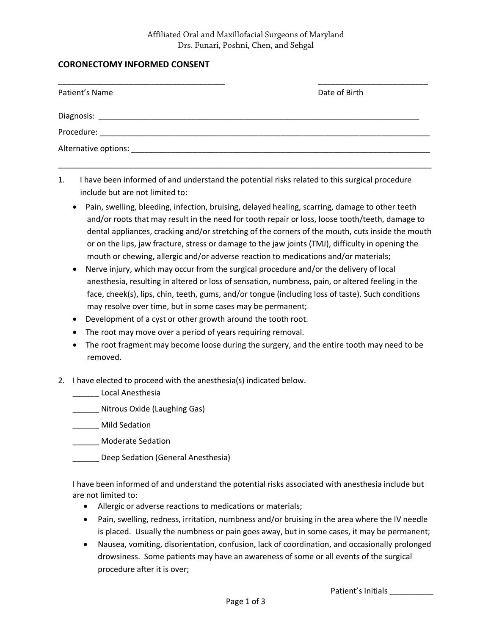## **CORONECTOMY INFORMED CONSENT**

| Date of Birth |
|---------------|
|               |
|               |
|               |
|               |

1. I have been informed of and understand the potential risks related to this surgical procedure include but are not limited to:

- Pain, swelling, bleeding, infection, bruising, delayed healing, scarring, damage to other teeth and/or roots that may result in the need for tooth repair or loss, loose tooth/teeth, damage to dental appliances, cracking and/or stretching of the corners of the mouth, cuts inside the mouth or on the lips, jaw fracture, stress or damage to the jaw joints (TMJ), difficulty in opening the mouth or chewing, allergic and/or adverse reaction to medications and/or materials;
- Nerve injury, which may occur from the surgical procedure and/or the delivery of local anesthesia, resulting in altered or loss of sensation, numbness, pain, or altered feeling in the face, cheek(s), lips, chin, teeth, gums, and/or tongue (including loss of taste). Such conditions may resolve over time, but in some cases may be permanent;
- •Development of a cyst or other growth around the tooth root.
- The root may move over a period of years requiring removal.
- The root fragment may become loose during the surgery, and the entire tooth may need to be removed.
- 2. I have elected to proceed with the anesthesia(s) indicated below.
	- \_\_\_\_\_\_ Local Anesthesia
	- \_\_\_\_\_\_ Nitrous Oxide (Laughing Gas)
	- \_\_\_\_\_\_ Mild Sedation
	- \_\_\_\_\_\_ Moderate Sedation
	- \_\_\_\_\_\_ Deep Sedation (General Anesthesia)

I have been informed of and understand the potential risks associated with anesthesia include but are not limited to:

- Allergic or adverse reactions to medications or materials;
- Pain, swelling, redness, irritation, numbness and/or bruising in the area where the IV needle is placed. Usually the numbness or pain goes away, but in some cases, it may be permanent;
- Nausea, vomiting, disorientation, confusion, lack of coordination, and occasionally prolonged drowsiness. Some patients may have an awareness of some or all events of the surgical procedure after it is over;

Patient's Initials \_\_\_\_\_\_\_\_\_\_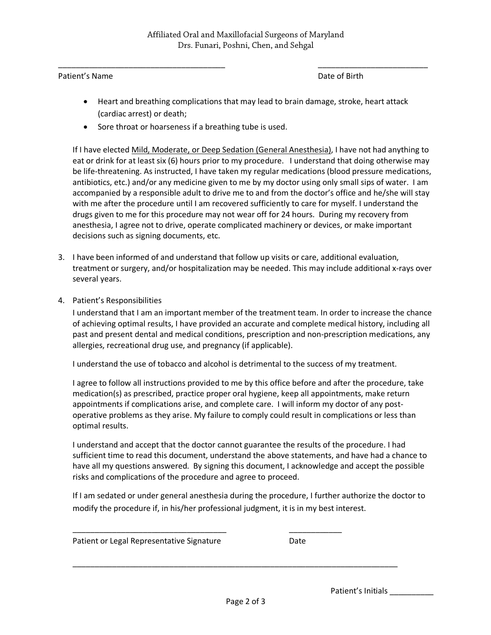\_\_\_\_\_\_\_\_\_\_\_\_\_\_\_\_\_\_\_\_\_\_\_\_\_\_\_\_\_\_\_\_\_\_\_\_\_\_ \_\_\_\_\_\_\_\_\_\_\_\_\_\_\_\_\_\_\_\_\_\_\_\_\_

## Patient's Name **Date of Birth**

- Heart and breathing complications that may lead to brain damage, stroke, heart attack (cardiac arrest) or death;
- Sore throat or hoarseness if a breathing tube is used.

If I have elected Mild, Moderate, or Deep Sedation (General Anesthesia), I have not had anything to eat or drink for at least six (6) hours prior to my procedure. I understand that doing otherwise may be life-threatening. As instructed, I have taken my regular medications (blood pressure medications, antibiotics, etc.) and/or any medicine given to me by my doctor using only small sips of water. I am accompanied by a responsible adult to drive me to and from the doctor's office and he/she will stay with me after the procedure until I am recovered sufficiently to care for myself. I understand the drugs given to me for this procedure may not wear off for 24 hours. During my recovery from anesthesia, I agree not to drive, operate complicated machinery or devices, or make important decisions such as signing documents, etc.

- 3. I have been informed of and understand that follow up visits or care, additional evaluation, treatment or surgery, and/or hospitalization may be needed. This may include additional x-rays over several years.
- 4. Patient's Responsibilities

I understand that I am an important member of the treatment team. In order to increase the chance of achieving optimal results, I have provided an accurate and complete medical history, including all past and present dental and medical conditions, prescription and non-prescription medications, any allergies, recreational drug use, and pregnancy (if applicable).

I understand the use of tobacco and alcohol is detrimental to the success of my treatment.

I agree to follow all instructions provided to me by this office before and after the procedure, take medication(s) as prescribed, practice proper oral hygiene, keep all appointments, make return appointments if complications arise, and complete care. I will inform my doctor of any postoperative problems as they arise. My failure to comply could result in complications or less than optimal results.

I understand and accept that the doctor cannot guarantee the results of the procedure. I had sufficient time to read this document, understand the above statements, and have had a chance to have all my questions answered. By signing this document, I acknowledge and accept the possible risks and complications of the procedure and agree to proceed.

If I am sedated or under general anesthesia during the procedure, I further authorize the doctor to modify the procedure if, in his/her professional judgment, it is in my best interest.

\_\_\_\_\_\_\_\_\_\_\_\_\_\_\_\_\_\_\_\_\_\_\_\_\_\_\_\_\_\_\_\_\_\_\_ \_\_\_\_\_\_\_\_\_\_\_\_

Patient or Legal Representative Signature Date

Patient's Initials

\_\_\_\_\_\_\_\_\_\_\_\_\_\_\_\_\_\_\_\_\_\_\_\_\_\_\_\_\_\_\_\_\_\_\_\_\_\_\_\_\_\_\_\_\_\_\_\_\_\_\_\_\_\_\_\_\_\_\_\_\_\_\_\_\_\_\_\_\_\_\_\_\_\_